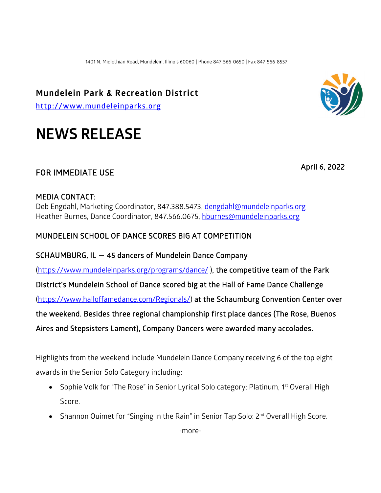1401 N. Midlothian Road, Mundelein, Illinois 60060 | Phone 847-566-0650 | Fax 847-566-8557

### **Mundelein Park & Recreation District**

**[http://www.mundeleinparks.org](http://www.mundeleinparks.org/)**

# **NEWS RELEASE**

## FOR IMMEDIATE USE April 6, 2022

### MEDIA CONTACT:

Deb Engdahl, Marketing Coordinator, 847.388.5473, [dengdahl@mundeleinparks.org](mailto:dengdahl@mundeleinparks.org)  Heather Burnes, Dance Coordinator, 847.566.0675, [hburnes@mundeleinparks.org](mailto:hburnes@mundeleinparks.org) 

#### MUNDELEIN SCHOOL OF DANCE SCORES BIG AT COMPETITION

SCHAUMBURG, IL — 45 dancers of Mundelein Dance Company

[\(https://www.mundeleinparks.org/programs/dance/](https://www.mundeleinparks.org/programs/dance/) ), the competitive team of the Park

District's Mundelein School of Dance scored big at the Hall of Fame Dance Challenge

[\(https://www.halloffamedance.com/Regionals/\)](https://www.halloffamedance.com/Regionals/) at the Schaumburg Convention Center over

the weekend. Besides three regional championship first place dances (The Rose, Buenos

Aires and Stepsisters Lament), Company Dancers were awarded many accolades.

Highlights from the weekend include Mundelein Dance Company receiving 6 of the top eight awards in the Senior Solo Category including:

- Sophie Volk for "The Rose" in Senior Lyrical Solo category: Platinum, 1<sup>st</sup> Overall High Score.
- Shannon Ouimet for "Singing in the Rain" in Senior Tap Solo: 2<sup>nd</sup> Overall High Score.



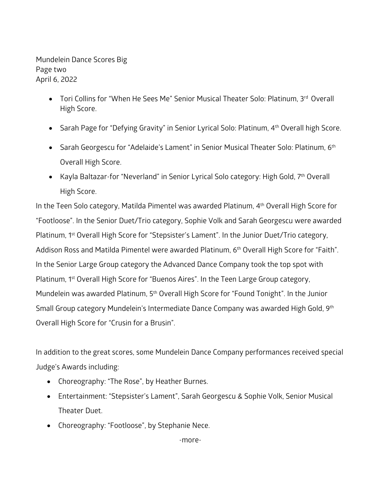Mundelein Dance Scores Big Page two April 6, 2022

- Tori Collins for "When He Sees Me" Senior Musical Theater Solo: Platinum, 3rd Overall High Score.
- Sarah Page for "Defying Gravity" in Senior Lyrical Solo: Platinum, 4<sup>th</sup> Overall high Score.
- Sarah Georgescu for "Adelaide's Lament" in Senior Musical Theater Solo: Platinum, 6<sup>th</sup> Overall High Score.
- Kayla Baltazar-for "Neverland" in Senior Lyrical Solo category: High Gold, 7<sup>th</sup> Overall High Score.

In the Teen Solo category, Matilda Pimentel was awarded Platinum, 4<sup>th</sup> Overall High Score for "Footloose". In the Senior Duet/Trio category, Sophie Volk and Sarah Georgescu were awarded Platinum, 1<sup>st</sup> Overall High Score for "Stepsister's Lament". In the Junior Duet/Trio category, Addison Ross and Matilda Pimentel were awarded Platinum, 6<sup>th</sup> Overall High Score for "Faith". In the Senior Large Group category the Advanced Dance Company took the top spot with Platinum, 1st Overall High Score for "Buenos Aires". In the Teen Large Group category, Mundelein was awarded Platinum, 5th Overall High Score for "Found Tonight". In the Junior Small Group category Mundelein's Intermediate Dance Company was awarded High Gold, 9th Overall High Score for "Crusin for a Brusin".

In addition to the great scores, some Mundelein Dance Company performances received special Judge's Awards including:

- Choreography: "The Rose", by Heather Burnes.
- Entertainment: "Stepsister's Lament", Sarah Georgescu & Sophie Volk, Senior Musical Theater Duet.
- Choreography: "Footloose", by Stephanie Nece.

-more-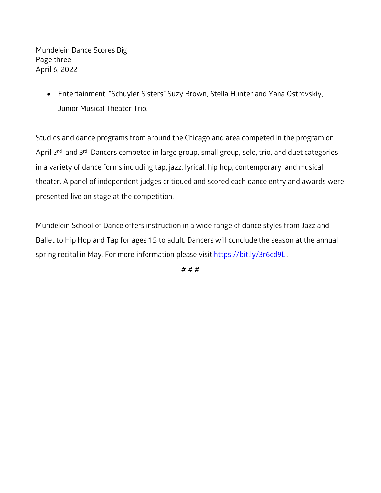Mundelein Dance Scores Big Page three April 6, 2022

> • Entertainment: "Schuyler Sisters" Suzy Brown, Stella Hunter and Yana Ostrovskiy, Junior Musical Theater Trio.

Studios and dance programs from around the Chicagoland area competed in the program on April 2<sup>nd</sup> and 3<sup>rd</sup>. Dancers competed in large group, small group, solo, trio, and duet categories in a variety of dance forms including tap, jazz, lyrical, hip hop, contemporary, and musical theater. A panel of independent judges critiqued and scored each dance entry and awards were presented live on stage at the competition.

Mundelein School of Dance offers instruction in a wide range of dance styles from Jazz and Ballet to Hip Hop and Tap for ages 1.5 to adult. Dancers will conclude the season at the annual spring recital in May. For more information please visit https://bit.ly/3r6cd9L.

# # #